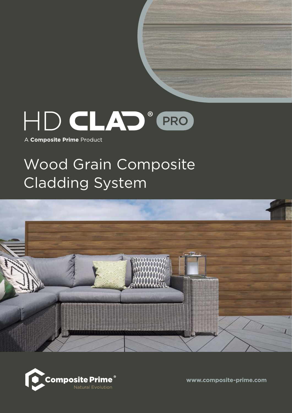

A Composite Prime Product

# Wood Grain Composite Cladding System





www.composite-prime.com